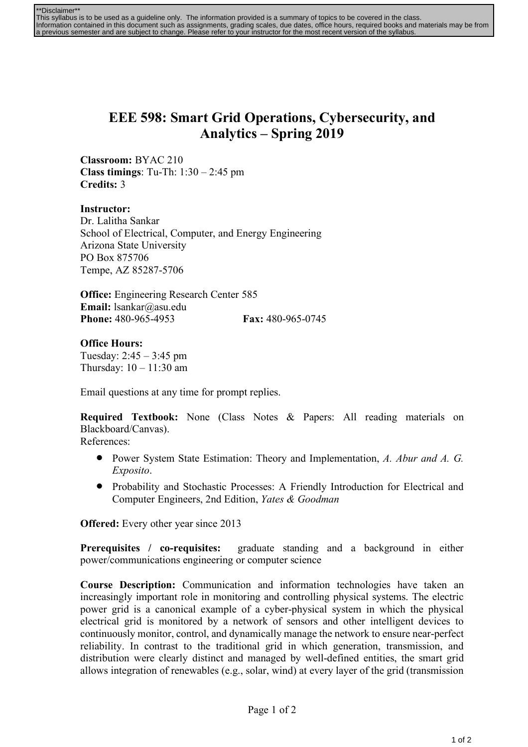| **Disclaimer**                                                                                                                                |
|-----------------------------------------------------------------------------------------------------------------------------------------------|
| This syllabus is to be used as a quideline only. The information provided is a summary of topics to be covered in the class.                  |
| Information contained in this document such as assignments, grading scales, due dates, office hours, required books and materials may be from |
| a previous semester and are subject to change. Please refer to your instructor for the most recent version of the syllabus.                   |

## **EEE 598: Smart Grid Operations, Cybersecurity, and Analytics – Spring 2019**

**Classroom:** BYAC 210 **Class timings**: Tu-Th: 1:30 – 2:45 pm **Credits:** 3

**Instructor:** Dr. Lalitha Sankar School of Electrical, Computer, and Energy Engineering Arizona State University PO Box 875706 Tempe, AZ 85287-5706

**Office:** Engineering Research Center 585 **Email:** lsankar@asu.edu **Phone:** 480-965-4953 **Fax:** 480-965-0745

## **Office Hours:**

Tuesday: 2:45 – 3:45 pm Thursday: 10 – 11:30 am

Email questions at any time for prompt replies.

**Required Textbook:** None (Class Notes & Papers: All reading materials on Blackboard/Canvas).

References:

- Power System State Estimation: Theory and Implementation, *A. Abur and A. G. Exposito*.
- Probability and Stochastic Processes: A Friendly Introduction for Electrical and Computer Engineers, 2nd Edition, *Yates & Goodman*

**Offered:** Every other year since 2013

**Prerequisites / co-requisites:** graduate standing and a background in either power/communications engineering or computer science

**Course Description:** Communication and information technologies have taken an increasingly important role in monitoring and controlling physical systems. The electric power grid is a canonical example of a cyber-physical system in which the physical electrical grid is monitored by a network of sensors and other intelligent devices to continuously monitor, control, and dynamically manage the network to ensure near-perfect reliability. In contrast to the traditional grid in which generation, transmission, and distribution were clearly distinct and managed by well-defined entities, the smart grid allows integration of renewables (e.g., solar, wind) at every layer of the grid (transmission